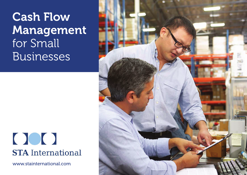## Cash Flow Management for Small Businesses

## $\bigcap$ **STA** International

www.stainternational.com

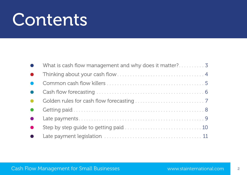# Contents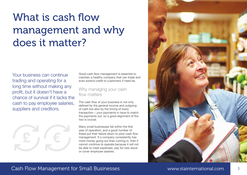### What is cash flow management and why does it matter?

Your business can continue trading and operating for a long time without making any profit, but it doesn't have a chance of survival if it lacks the cash to pay employee salaries, suppliers and creditors.

**£ €**

Good cash flow management is essential to maintain a healthy company that can trade and even extend credit to customers if need be.

Why managing your cash flow matters

The cash flow of your business is not only defined by the general income and outgoing of cash but also by the timing of every transaction – your payments in have to match the payments out, so a good alignment of the two is crucial

Many small businesses fail within the first year of operation, and a good number of these put their failure down to poor cash flow management. If a company consistently has more money going out than coming in, then it cannot continue to operate because it will not be able to meet expenses, pay for new stock or cover employee salaries.



#### Cash Flow Management for Small Businesses Network and Management or Small Businesses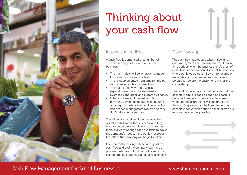

### Thinking about your cash flow

#### Inflows and outflows

A cash flow is comprised of a number of streams, moving both in and out of the business:

- The main inflow will be whatever is made from sales and/or service fees.
- This is supplemented from time to time by new finance, such as a bank loan.
- The main outflow will be business expenditure – this includes salaries, overheads and stock and supply purchases.
- Other outflows include VAT and tax payments, which come out in lump sums on a regular basis and should be scheduled into finance management systems so they don't take you by surprise.

The inflow and outflow of cash equals the overall cash flow for the business, and they have to be carefully regulated to ensure that there is always enough cash available to cover the company's needs. If the outflow exceeds the inflow, the company will begin to falter.

It's important to distinguish between positive cash flow and profit. A company can have a positive cash flow but not be profitable, and it can be profitable but have a negative cash flow.

#### Cash flow gap

The cash flow gap occurs when inflow and outflow payments are not aligned, resulting in time periods when the business is left short of cash. It's a common issue for small businesses where outflows outstrip inflows – for example, materials and other resources may have to be paid for before the customer pays for the completed job.

The outflow timescale will help ensure that the cash flow gap is closed as soon as possible because business owners are able to see where potential problems will occur before they do. Steps can also be taken to cut the cash flow conversion period so that inflows are received as soon as possible.

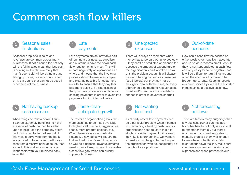### Common cash flow killers

#### Seasonal sales fluctuations 1 Seasonal Sales (2) Late (3) Onexpected (4)

Seasonal drop-offs in sales and revenues are common across many businesses. If not planned for, not only will the fall in sales mean that less cash is coming in, but the inventory that hasn't been sold will be sitting around taking up money – every pound spent on it is a pound that cannot be used in other areas of the business.

### cash reserves

When things do take a downhill turn, it can be extremely beneficial to have a reserve of cash that can be called upon to help keep the company afloat until things can be turned around. If this means borrowing from the bank as opposed to being able to withdraw cash from a reserve bank account, then so be it. This makes forming a good relationship with your business bank essential.

#### Late payments 2

Late payments are an inevitable part of running a business, as suppliers and customers have their own cash flow requirements to meet. This will impact negatively on operations as a whole and means that the invoicing process should be made as simple and clear as possible for customers in order to ensure that they pay their bills more quickly. It's also essential that you have procedures in place for chasing payments in order to avoid late payments turning into bad debts.

#### 5 Not having backup 6 Faster-than- 1 7 Not wanting 8 Faster-thananticipated growth

The faster an organisation grows, the more cash has to be made available for higher staff numbers, bigger office space, more product choices, etc. When these are upfront costs (for instance, a new office will require the first and last month's rent in advance as well as a deposit), revenue streams usually cannot keep up and this creates a cash flow gap which can quickly cripple a business.



There will always be moments when money has to be paid out unexpectedly – they can't be predicted or planned for because the amount of expenditure on the organisation's part won't be known until the problem occurs. It will always be worth having backup cash reserves (see 5 below) but they may not be enough to deal with the issue, so every effort should be made to recover costs owed and/or secure extra short-term finance in order to cover the shortfall.

#### Not wanting to offend

As already noted, late payments can be a particular problem when it comes to maintaining a healthy cash flow, so organisations need to learn that it is alright to ask for payment if it doesn't look like it is forthcoming. Conversely, extensions can be granted as long as the organisation won't subsequently be thought of as a pushover.



How can a cash flow be defined as either positive or negative if accurate and up-to-date records aren't kept? If they're not kept updated, a cash flow can very easily become negative, and it will be difficult to turn things around when the accounts first have to be brought up-to-date. Keeping records clear and sorted by date is the first step in maintaining a positive cash flow.



There are far too many outgoings than any business owner can manage in his or her head – not only is it difficult to remember them all, but there's no chance of anyone being able to mentally organise them well enough to see where potential shortfalls might occur down the line. Make sure you have a system for tracking your expenses and when payment is due.

#### Cash Flow Management for Small Businesses The Cash Survey www.stainternational.com 5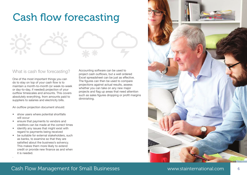### Cash flow forecasting



One of the most important things you can do to stay on top of your cash flow is to maintain a month-to-month (or week-to-week or day-to-day, if needed) projection of your outflow timescales and amounts. This covers absolutely everything, from amounts paid to suppliers to salaries and electricity bills.

An outflow projection document should:

- show users where potential shortfalls will occur
- ensure that payments to vendors and creditors can be made at the correct times
- identify any issues that might exist with regard to payments being received

.

• be suitable for external stakeholders, such as banks, to examine so that they are satisfied about the business's solvency. This makes them more likely to extend credit or provide new finance as and when it is needed.

Accounting software can be used to project cash outflows, but a well ordered Excel spreadsheet can be just as effective. The figures can then be used to compare projections against actual results, assess whether you can take on any new major projects and flag up areas that need attention such as sales figures dropping or profit margins diminishing.

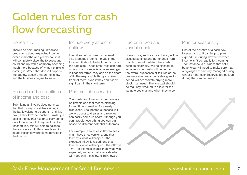### Golden rules for cash flow forecasting

#### Be realistic

There's no point making unrealistic predictions about expected income over six months or a year because it will completely skew the forecast and could end up with a company spending much more because of what it thinks is coming in. When that doesn't happen, the outflow doesn't match the inflow and the business begins to suffer.

#### Remember the definitions of income and cost

Submitting an invoice does not mean that that money is suddenly sitting in the bank waiting to be spent – until it is paid, it shouldn't be touched. Similarly, a cost is money that has physically come out of the account. If payment can be rescheduled, this will help to balance the accounts and offer some breathing space if cash flow problems develop in the interim.

#### Include every aspect of outflow

Even if something seems too small (like a postage fee) to include in the forecast, it should be included to be on the safe side. Those small fees can add up and if a business is on a knife-edge in financial terms, they can be the death of it. The responsible thing is to keep track of them, even if they don't seem significant in the short term.

#### Plan multiple scenarios

Your cash flow forecast should always be flexible and that means planning for multiple scenarios. As already discussed, unexpected expenses will always occur and sales and revenue can easily come up short. Although you can't predict everything you can plan based on different potential outcomes.

For example, a sales cash flow forecast might have three versions: one that forecasts what will happen if the expected inflow is raised; one that forecasts what will happen if the inflow is 15% (for example) higher than what was expected; and one that forecasts what will happen if the inflow is 15% lower.

#### Factor in fixed and variable costs

Some costs, such as broadband, will be classed as fixed and not change from month to month, while other costs, such as electricity, will be classed as variable. Other costs will be tied to the overall successes or failures of the business – for instance, a strong selling period will necessitate buying more stock than usual. The forecast should be regularly tweaked to allow for the variable costs as and when they arise.

#### Plan for seasonality

One of the benefits of a cash flow forecast is that it can help to plan expenditure during slow times when income isn't as readily forthcoming – for instance, a business that sells beachwear will need to make sure that outgoings are carefully managed during winter or that cash reserves are built up during the summer season.

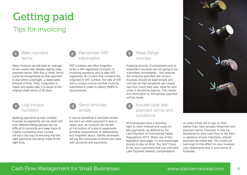## Getting paid

### Tips for invoicing



terms

Many invoices are still paid an average of two weeks late despite stating clear payment terms. With this in mind, terms could be renegotiated so that payment is due within a fortnight, a reasonable amount of time. Then, if payment is made two weeks late, it is equal to the original credit terms of 30 days.



#### Use invoice numbers

Splitting payments across multiple invoices so payments can be dealt with over different billing periods can be difficult to reconcile and keep track of. Clearly numbering every invoice will be a vital way of ensuring that the right payments are being made at the right time.



VAT numbers are often forgotten when a VAT-registered company is invoicing someone who is also VATregistered. An invoice that contains the originator's VAT number, the rate of VAT and a unique invoice number must be submitted in order to satisfy HMRC's requirements.



It can be beneficial if reminder emails are sent out when payment is due or nearly due, as invoices can be left at the bottom of a pile of paperwork (whether inadvertently or deliberately) and forgotten about. Gentle reminders will jog the memories of those who deal with accounts and payments.



Keep things concise

Keeping records of completed work is essential if invoices are not going to be submitted immediately – this ensures the amounts specified are correct. Invoices should be kept simple and concise so that recipients can clearly see how much they owe, what for and when it should be paid by. The clearer the information is, the quicker payment will be made.

#### Include clear late payment terms and conditions

All businesses have a statutory right to claim interest and costs on late payments, as defined by the Late Payment of Commercial Debts Regulations 2013. Make use of this legislation (see page 11) and encourage buyers to pay on time. You don't have to tell your customers that you will claim Late Payment interest, compensation



or costs if they fail to pay on time before they have actually breached your payment terms. However, it may be beneficial for your cash flow to tell them in advance of your intentions, should payment be made late. You could put warnings to this effect on your invoices; your statements and in your terms of business.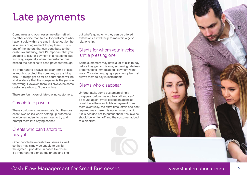### Late payments

Companies and businesses are often left with no other choice than to ask for customers who haven't paid within the time limit set out by the sale terms of agreement to pay them. This is one of the factors that can contribute to the cash flow suffering, and it's important that you are able to ask for payment in a respectful but firm way, especially when the customer has missed the deadline to send payment through.

It's important to always set clear terms of sale, as much to protect the company as anything else – if things get as far as court, these will be vital evidence that the non-payer is the party in the wrong. However, there will always be some customers who can't pay on time.

There are four types of late-paying customers:

#### Chronic late payers

These customers pay eventually, but they drain cash flows so it's worth setting up automatic invoice reminders to be sent out to try and prompt them into paying sooner.

#### Clients who can't afford to pay yet

Other people have cash flow issues as well, so they may simply be unable to pay by the agreed-upon date. In cases like these, it's important to pick up the phone and find

out what's going on – they can be offered extensions if it will help to maintain a good relationship.

#### Clients for whom your invoice isn't a pressing one

Some customers may have a lot of bills to pay before they get to this one, so issuing late fees or demanding immediate full payment won't work. Consider arranging a payment plan that allows them to pay in instalments.

#### Clients who disappear

Unfortunately, some customers simply disappear before paying their bill and can't be found again. While collection agencies could trace them and obtain payment from them eventually, the extra time, effort and cost required may make this option uneconomic. If it is decided not to pursue them, the invoice should be written off and the customer added to a blacklist.



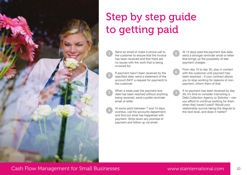

### Step by step guide to getting paid

5

6

7

Send an email or make a phone call to the customer to ensure that the invoice has been received and that there are no issues with the work that is being invoiced for.

If payment hasn't been received by the specified date, send a statement of the account (NOT a request for payment) to the customer.

2

3

4

When a week past the payment due date has been reached without anything being received, send a polite reminder email or letter.

At some point between 7 and 14 days overdue, call the accounts department and find out what has happened with payment. Write down any promise of payment and follow up via email.

At 14 days past the payment due date, send a stronger reminder email or letter that brings up the possibility of late payment charges.

From day 15 to day 30, stay in contact with the customer until payment has been resolved – if your contract allows you to stop working for reasons of nonpayment, inform them of that.

If no payment has been received by day 30, it's time to consider instructing a Debt Collection Agency or Solicitor – can you afford to continue working for them when they haven't paid? Would your relationship survive taking the dispute to the next level, and does it matter?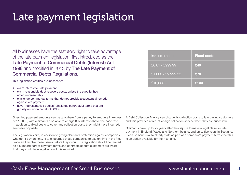### Late payment legislation

All businesses have the statutory right to take advantage of the late payment legislation, first introduced as the Late Payment of Commercial Debts (Interest) Act 1998 and modified in 2013 by The Late Payment of Commercial Debts Regulations.

This legislation entitles businesses to:

- claim interest for late payment
- claim reasonable debt recovery costs, unless the supplier has acted unreasonably
- challenge contractual terms that do not provide a substantial remedy against late payment
- have "representative bodies" challenge contractual terms that are grossly unfair on behalf of SMEs.

Specified payment amounts can be anywhere from a penny to amounts in excess of £10,000, with claimants also able to charge 8% interest above the base rate in addition to fixed costs to cover any collection costs they might have incurred, see table opposite.

The legislation's aim, in addition to giving claimants protection against companies who don't pay on time, is to encourage those companies to pay on time in the first place and resolve these issues before they occur. The legislation should be treated as a standard part of payment terms and contracts so that customers are aware that they could face legal action if it is required.

| Invoice amount     | <b>Fixed costs</b> |
|--------------------|--------------------|
| £0.01 - £999.99    | £40                |
| £1,000 - £9,999.99 | £70                |
| $£10,000 +$        | £100               |

A Debt Collection Agency can charge its collection costs to late paying customers and this provides a free-of-charge collection service when they are successful.

Claimants have up to six years after the dispute to make a legal claim for late payment in England, Wales and Northern Ireland, and up to five years in Scotland. It can be beneficial to clearly state as part of a company's payment terms that this is an option available for them to take.